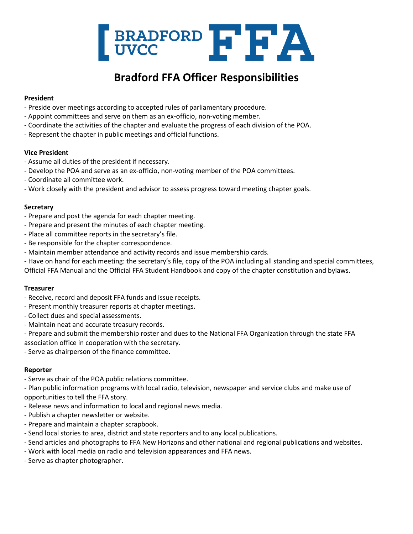

# **Bradford FFA Officer Responsibilities**

## **President**

- Preside over meetings according to accepted rules of parliamentary procedure.
- Appoint committees and serve on them as an ex-officio, non-voting member.
- Coordinate the activities of the chapter and evaluate the progress of each division of the POA.
- Represent the chapter in public meetings and official functions.

## **Vice President**

- Assume all duties of the president if necessary.
- Develop the POA and serve as an ex-officio, non-voting member of the POA committees.
- Coordinate all committee work.
- Work closely with the president and advisor to assess progress toward meeting chapter goals.

## **Secretary**

- Prepare and post the agenda for each chapter meeting.
- Prepare and present the minutes of each chapter meeting.
- Place all committee reports in the secretary's file.
- Be responsible for the chapter correspondence.
- Maintain member attendance and activity records and issue membership cards.
- Have on hand for each meeting: the secretary's file, copy of the POA including all standing and special committees,

Official FFA Manual and the Official FFA Student Handbook and copy of the chapter constitution and bylaws.

#### **Treasurer**

- Receive, record and deposit FFA funds and issue receipts.
- Present monthly treasurer reports at chapter meetings.
- Collect dues and special assessments.
- Maintain neat and accurate treasury records.
- Prepare and submit the membership roster and dues to the National FFA Organization through the state FFA association office in cooperation with the secretary.
- Serve as chairperson of the finance committee.

#### **Reporter**

- Serve as chair of the POA public relations committee.
- Plan public information programs with local radio, television, newspaper and service clubs and make use of opportunities to tell the FFA story.
- Release news and information to local and regional news media.
- Publish a chapter newsletter or website.
- Prepare and maintain a chapter scrapbook.
- Send local stories to area, district and state reporters and to any local publications.
- Send articles and photographs to FFA New Horizons and other national and regional publications and websites.
- Work with local media on radio and television appearances and FFA news.
- Serve as chapter photographer.